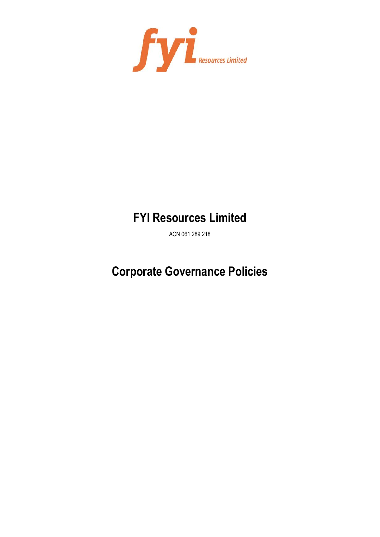

# **FYI Resources Limited**

ACN 061 289 218

# **Corporate Governance Policies**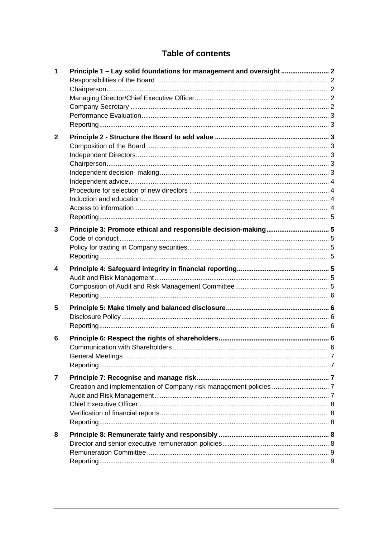# **Table of contents**

| $\mathbf 1$    |                                                                |  |
|----------------|----------------------------------------------------------------|--|
| $\mathbf{2}$   |                                                                |  |
| 3              | Principle 3: Promote ethical and responsible decision-making 5 |  |
| 4              |                                                                |  |
| 5              |                                                                |  |
| 6              |                                                                |  |
| $\overline{7}$ |                                                                |  |
| 8              |                                                                |  |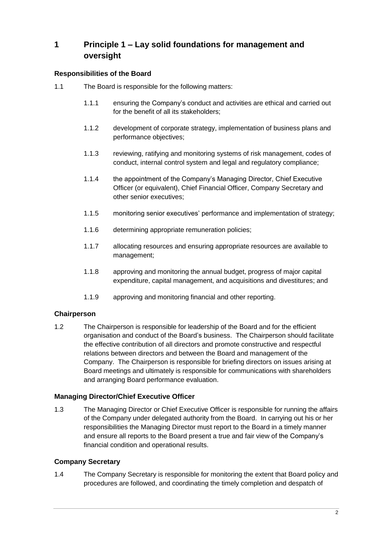# **1 Principle 1 – Lay solid foundations for management and oversight**

## **Responsibilities of the Board**

- 1.1 The Board is responsible for the following matters:
	- 1.1.1 ensuring the Company's conduct and activities are ethical and carried out for the benefit of all its stakeholders;
	- 1.1.2 development of corporate strategy, implementation of business plans and performance objectives;
	- 1.1.3 reviewing, ratifying and monitoring systems of risk management, codes of conduct, internal control system and legal and regulatory compliance;
	- 1.1.4 the appointment of the Company's Managing Director, Chief Executive Officer (or equivalent), Chief Financial Officer, Company Secretary and other senior executives;
	- 1.1.5 monitoring senior executives' performance and implementation of strategy;
	- 1.1.6 determining appropriate remuneration policies;
	- 1.1.7 allocating resources and ensuring appropriate resources are available to management;
	- 1.1.8 approving and monitoring the annual budget, progress of major capital expenditure, capital management, and acquisitions and divestitures; and
	- 1.1.9 approving and monitoring financial and other reporting.

#### **Chairperson**

1.2 The Chairperson is responsible for leadership of the Board and for the efficient organisation and conduct of the Board's business. The Chairperson should facilitate the effective contribution of all directors and promote constructive and respectful relations between directors and between the Board and management of the Company. The Chairperson is responsible for briefing directors on issues arising at Board meetings and ultimately is responsible for communications with shareholders and arranging Board performance evaluation.

#### **Managing Director/Chief Executive Officer**

1.3 The Managing Director or Chief Executive Officer is responsible for running the affairs of the Company under delegated authority from the Board. In carrying out his or her responsibilities the Managing Director must report to the Board in a timely manner and ensure all reports to the Board present a true and fair view of the Company's financial condition and operational results.

#### **Company Secretary**

1.4 The Company Secretary is responsible for monitoring the extent that Board policy and procedures are followed, and coordinating the timely completion and despatch of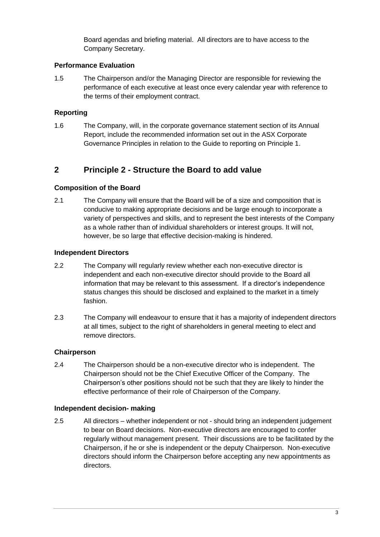Board agendas and briefing material. All directors are to have access to the Company Secretary.

#### **Performance Evaluation**

1.5 The Chairperson and/or the Managing Director are responsible for reviewing the performance of each executive at least once every calendar year with reference to the terms of their employment contract.

### **Reporting**

1.6 The Company, will, in the corporate governance statement section of its Annual Report, include the recommended information set out in the ASX Corporate Governance Principles in relation to the Guide to reporting on Principle 1.

# **2 Principle 2 - Structure the Board to add value**

#### **Composition of the Board**

2.1 The Company will ensure that the Board will be of a size and composition that is conducive to making appropriate decisions and be large enough to incorporate a variety of perspectives and skills, and to represent the best interests of the Company as a whole rather than of individual shareholders or interest groups. It will not, however, be so large that effective decision-making is hindered.

#### **Independent Directors**

- 2.2 The Company will regularly review whether each non-executive director is independent and each non-executive director should provide to the Board all information that may be relevant to this assessment. If a director's independence status changes this should be disclosed and explained to the market in a timely fashion.
- 2.3 The Company will endeavour to ensure that it has a majority of independent directors at all times, subject to the right of shareholders in general meeting to elect and remove directors.

## **Chairperson**

2.4 The Chairperson should be a non-executive director who is independent. The Chairperson should not be the Chief Executive Officer of the Company. The Chairperson's other positions should not be such that they are likely to hinder the effective performance of their role of Chairperson of the Company.

#### **Independent decision- making**

2.5 All directors – whether independent or not - should bring an independent judgement to bear on Board decisions. Non-executive directors are encouraged to confer regularly without management present. Their discussions are to be facilitated by the Chairperson, if he or she is independent or the deputy Chairperson. Non-executive directors should inform the Chairperson before accepting any new appointments as directors.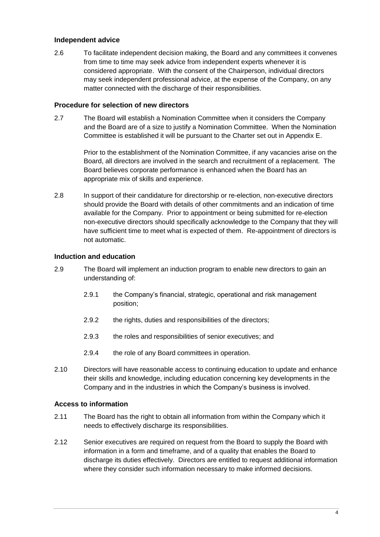#### **Independent advice**

2.6 To facilitate independent decision making, the Board and any committees it convenes from time to time may seek advice from independent experts whenever it is considered appropriate. With the consent of the Chairperson, individual directors may seek independent professional advice, at the expense of the Company, on any matter connected with the discharge of their responsibilities.

#### **Procedure for selection of new directors**

2.7 The Board will establish a Nomination Committee when it considers the Company and the Board are of a size to justify a Nomination Committee. When the Nomination Committee is established it will be pursuant to the Charter set out in Appendix E.

> Prior to the establishment of the Nomination Committee, if any vacancies arise on the Board, all directors are involved in the search and recruitment of a replacement. The Board believes corporate performance is enhanced when the Board has an appropriate mix of skills and experience.

2.8 In support of their candidature for directorship or re-election, non-executive directors should provide the Board with details of other commitments and an indication of time available for the Company. Prior to appointment or being submitted for re-election non-executive directors should specifically acknowledge to the Company that they will have sufficient time to meet what is expected of them. Re-appointment of directors is not automatic.

#### **Induction and education**

- 2.9 The Board will implement an induction program to enable new directors to gain an understanding of:
	- 2.9.1 the Company's financial, strategic, operational and risk management position;
	- 2.9.2 the rights, duties and responsibilities of the directors;
	- 2.9.3 the roles and responsibilities of senior executives; and
	- 2.9.4 the role of any Board committees in operation.
- 2.10 Directors will have reasonable access to continuing education to update and enhance their skills and knowledge, including education concerning key developments in the Company and in the industries in which the Company's business is involved.

#### **Access to information**

- 2.11 The Board has the right to obtain all information from within the Company which it needs to effectively discharge its responsibilities.
- 2.12 Senior executives are required on request from the Board to supply the Board with information in a form and timeframe, and of a quality that enables the Board to discharge its duties effectively. Directors are entitled to request additional information where they consider such information necessary to make informed decisions.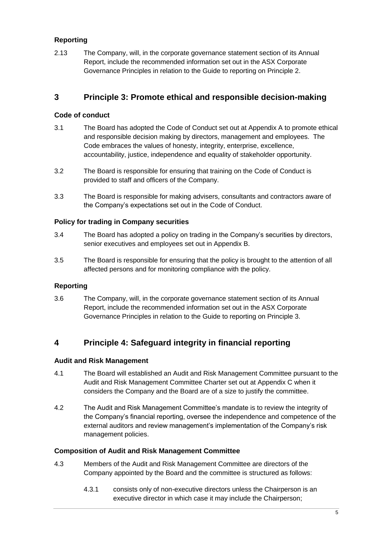# **Reporting**

2.13 The Company, will, in the corporate governance statement section of its Annual Report, include the recommended information set out in the ASX Corporate Governance Principles in relation to the Guide to reporting on Principle 2.

# **3 Principle 3: Promote ethical and responsible decision-making**

### **Code of conduct**

- 3.1 The Board has adopted the Code of Conduct set out at Appendix A to promote ethical and responsible decision making by directors, management and employees. The Code embraces the values of honesty, integrity, enterprise, excellence, accountability, justice, independence and equality of stakeholder opportunity.
- 3.2 The Board is responsible for ensuring that training on the Code of Conduct is provided to staff and officers of the Company.
- 3.3 The Board is responsible for making advisers, consultants and contractors aware of the Company's expectations set out in the Code of Conduct.

#### **Policy for trading in Company securities**

- 3.4 The Board has adopted a policy on trading in the Company's securities by directors, senior executives and employees set out in Appendix B.
- 3.5 The Board is responsible for ensuring that the policy is brought to the attention of all affected persons and for monitoring compliance with the policy.

#### **Reporting**

3.6 The Company, will, in the corporate governance statement section of its Annual Report, include the recommended information set out in the ASX Corporate Governance Principles in relation to the Guide to reporting on Principle 3.

# **4 Principle 4: Safeguard integrity in financial reporting**

#### **Audit and Risk Management**

- 4.1 The Board will established an Audit and Risk Management Committee pursuant to the Audit and Risk Management Committee Charter set out at Appendix C when it considers the Company and the Board are of a size to justify the committee.
- 4.2 The Audit and Risk Management Committee's mandate is to review the integrity of the Company's financial reporting, oversee the independence and competence of the external auditors and review management's implementation of the Company's risk management policies.

#### **Composition of Audit and Risk Management Committee**

- 4.3 Members of the Audit and Risk Management Committee are directors of the Company appointed by the Board and the committee is structured as follows:
	- 4.3.1 consists only of non-executive directors unless the Chairperson is an executive director in which case it may include the Chairperson;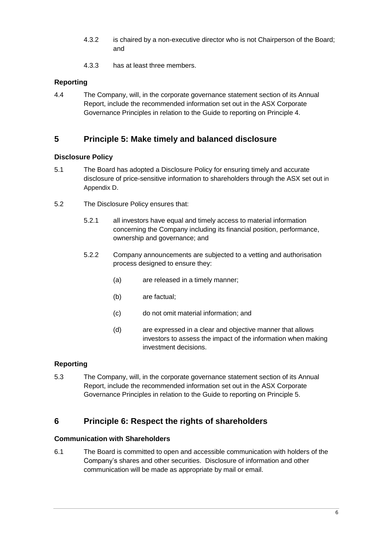- 4.3.2 is chaired by a non-executive director who is not Chairperson of the Board; and
- 4.3.3 has at least three members.

# **Reporting**

4.4 The Company, will, in the corporate governance statement section of its Annual Report, include the recommended information set out in the ASX Corporate Governance Principles in relation to the Guide to reporting on Principle 4.

# **5 Principle 5: Make timely and balanced disclosure**

#### **Disclosure Policy**

- 5.1 The Board has adopted a Disclosure Policy for ensuring timely and accurate disclosure of price-sensitive information to shareholders through the ASX set out in Appendix D.
- 5.2 The Disclosure Policy ensures that:
	- 5.2.1 all investors have equal and timely access to material information concerning the Company including its financial position, performance, ownership and governance; and
	- 5.2.2 Company announcements are subjected to a vetting and authorisation process designed to ensure they:
		- (a) are released in a timely manner;
		- (b) are factual;
		- (c) do not omit material information; and
		- (d) are expressed in a clear and objective manner that allows investors to assess the impact of the information when making investment decisions.

## **Reporting**

5.3 The Company, will, in the corporate governance statement section of its Annual Report, include the recommended information set out in the ASX Corporate Governance Principles in relation to the Guide to reporting on Principle 5.

# **6 Principle 6: Respect the rights of shareholders**

#### **Communication with Shareholders**

6.1 The Board is committed to open and accessible communication with holders of the Company's shares and other securities. Disclosure of information and other communication will be made as appropriate by mail or email.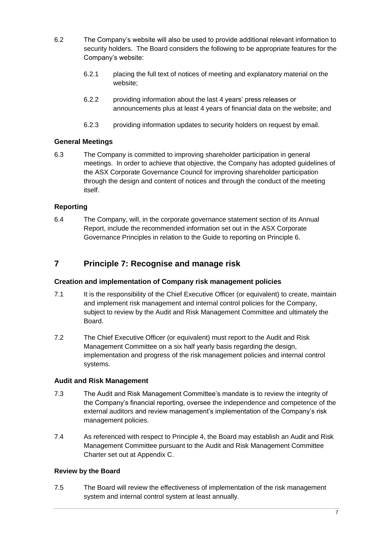- 6.2 The Company's website will also be used to provide additional relevant information to security holders. The Board considers the following to be appropriate features for the Company's website:
	- 6.2.1 placing the full text of notices of meeting and explanatory material on the website;
	- 6.2.2 providing information about the last 4 years' press releases or announcements plus at least 4 years of financial data on the website; and
	- 6.2.3 providing information updates to security holders on request by email.

## **General Meetings**

6.3 The Company is committed to improving shareholder participation in general meetings. In order to achieve that objective, the Company has adopted guidelines of the ASX Corporate Governance Council for improving shareholder participation through the design and content of notices and through the conduct of the meeting itself.

## **Reporting**

6.4 The Company, will, in the corporate governance statement section of its Annual Report, include the recommended information set out in the ASX Corporate Governance Principles in relation to the Guide to reporting on Principle 6.

# **7 Principle 7: Recognise and manage risk**

#### **Creation and implementation of Company risk management policies**

- 7.1 It is the responsibility of the Chief Executive Officer (or equivalent) to create, maintain and implement risk management and internal control policies for the Company, subject to review by the Audit and Risk Management Committee and ultimately the Board.
- 7.2 The Chief Executive Officer (or equivalent) must report to the Audit and Risk Management Committee on a six half yearly basis regarding the design, implementation and progress of the risk management policies and internal control systems.

#### **Audit and Risk Management**

- 7.3 The Audit and Risk Management Committee's mandate is to review the integrity of the Company's financial reporting, oversee the independence and competence of the external auditors and review management's implementation of the Company's risk management policies.
- 7.4 As referenced with respect to Principle 4, the Board may establish an Audit and Risk Management Committee pursuant to the Audit and Risk Management Committee Charter set out at Appendix C.

#### **Review by the Board**

7.5 The Board will review the effectiveness of implementation of the risk management system and internal control system at least annually.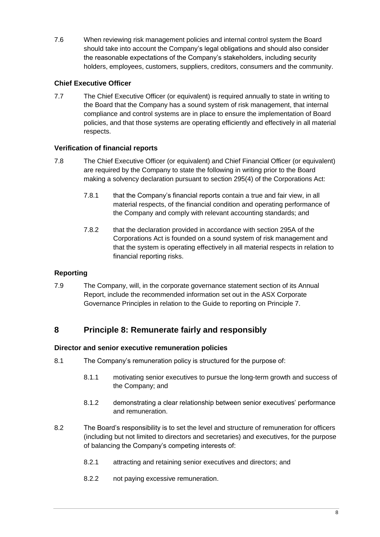7.6 When reviewing risk management policies and internal control system the Board should take into account the Company's legal obligations and should also consider the reasonable expectations of the Company's stakeholders, including security holders, employees, customers, suppliers, creditors, consumers and the community.

# **Chief Executive Officer**

7.7 The Chief Executive Officer (or equivalent) is required annually to state in writing to the Board that the Company has a sound system of risk management, that internal compliance and control systems are in place to ensure the implementation of Board policies, and that those systems are operating efficiently and effectively in all material respects.

## **Verification of financial reports**

- 7.8 The Chief Executive Officer (or equivalent) and Chief Financial Officer (or equivalent) are required by the Company to state the following in writing prior to the Board making a solvency declaration pursuant to section 295(4) of the Corporations Act:
	- 7.8.1 that the Company's financial reports contain a true and fair view, in all material respects, of the financial condition and operating performance of the Company and comply with relevant accounting standards; and
	- 7.8.2 that the declaration provided in accordance with section 295A of the Corporations Act is founded on a sound system of risk management and that the system is operating effectively in all material respects in relation to financial reporting risks.

# **Reporting**

7.9 The Company, will, in the corporate governance statement section of its Annual Report, include the recommended information set out in the ASX Corporate Governance Principles in relation to the Guide to reporting on Principle 7.

# **8 Principle 8: Remunerate fairly and responsibly**

## **Director and senior executive remuneration policies**

- 8.1 The Company's remuneration policy is structured for the purpose of:
	- 8.1.1 motivating senior executives to pursue the long-term growth and success of the Company; and
	- 8.1.2 demonstrating a clear relationship between senior executives' performance and remuneration.
- 8.2 The Board's responsibility is to set the level and structure of remuneration for officers (including but not limited to directors and secretaries) and executives, for the purpose of balancing the Company's competing interests of:
	- 8.2.1 attracting and retaining senior executives and directors; and
	- 8.2.2 not paying excessive remuneration.